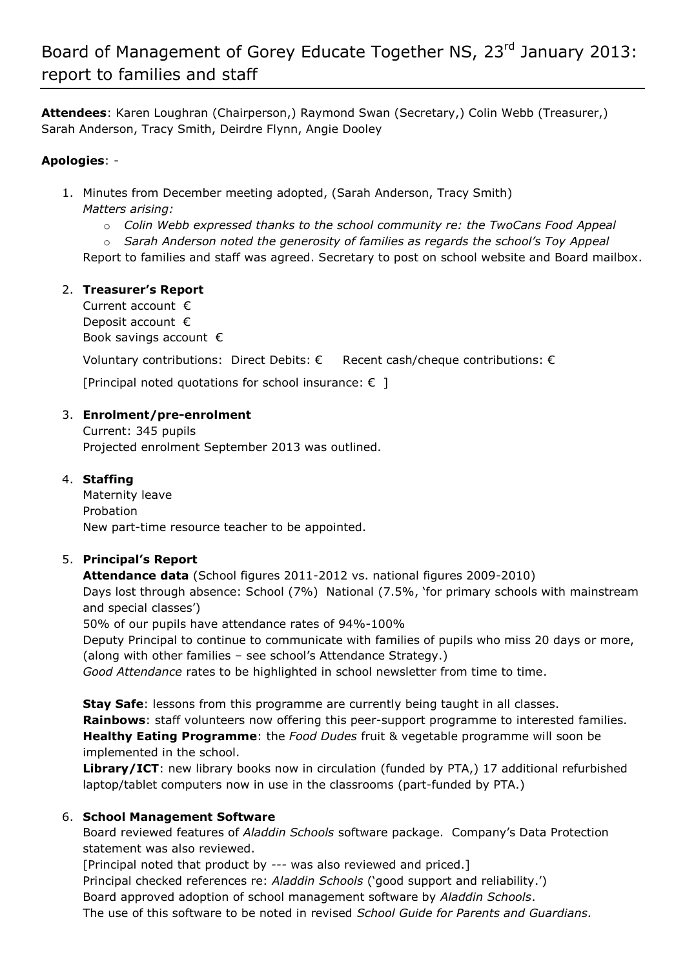**Attendees**: Karen Loughran (Chairperson,) Raymond Swan (Secretary,) Colin Webb (Treasurer,) Sarah Anderson, Tracy Smith, Deirdre Flynn, Angie Dooley

## **Apologies**: -

- 1. Minutes from December meeting adopted, (Sarah Anderson, Tracy Smith) *Matters arising:* 
	- o *Colin Webb expressed thanks to the school community re: the TwoCans Food Appeal*
	- o *Sarah Anderson noted the generosity of families as regards the school's Toy Appeal*

Report to families and staff was agreed. Secretary to post on school website and Board mailbox.

## 2. **Treasurer's Report**

Current account € Deposit account € Book savings account €

Voluntary contributions: Direct Debits:  $\epsilon$  Recent cash/cheque contributions:  $\epsilon$ 

[Principal noted quotations for school insurance:  $\epsilon$  ]

## 3. **Enrolment/pre-enrolment**

Current: 345 pupils Projected enrolment September 2013 was outlined.

## 4. **Staffing**

Maternity leave Probation New part-time resource teacher to be appointed.

## 5. **Principal's Report**

**Attendance data** (School figures 2011-2012 vs. national figures 2009-2010) Days lost through absence: School (7%) National (7.5%, 'for primary schools with mainstream and special classes')

50% of our pupils have attendance rates of 94%-100%

Deputy Principal to continue to communicate with families of pupils who miss 20 days or more, (along with other families – see school's Attendance Strategy.)

*Good Attendance* rates to be highlighted in school newsletter from time to time.

**Stay Safe**: lessons from this programme are currently being taught in all classes. **Rainbows**: staff volunteers now offering this peer-support programme to interested families. **Healthy Eating Programme**: the *Food Dudes* fruit & vegetable programme will soon be implemented in the school.

**Library/ICT**: new library books now in circulation (funded by PTA,) 17 additional refurbished laptop/tablet computers now in use in the classrooms (part-funded by PTA.)

## 6. **School Management Software**

Board reviewed features of *Aladdin Schools* software package. Company's Data Protection statement was also reviewed.

[Principal noted that product by *---* was also reviewed and priced.]

Principal checked references re: *Aladdin Schools* ('good support and reliability.')

Board approved adoption of school management software by *Aladdin Schools*.

The use of this software to be noted in revised *School Guide for Parents and Guardians.*